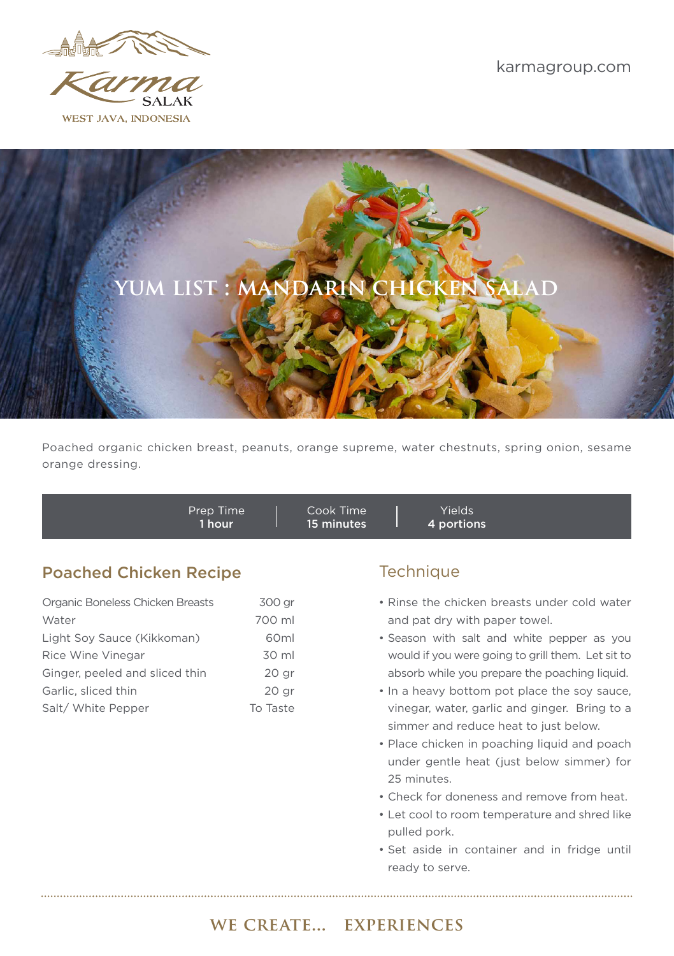

WEST JAVA. INDONESIA



Poached organic chicken breast, peanuts, orange supreme, water chestnuts, spring onion, sesame orange dressing.

Prep Time 1 hour Cook Time 15 minutes Yields 4 portions

## **Poached Chicken Recipe Technique** Technique

| Organic Boneless Chicken Breasts | 300 ar           |
|----------------------------------|------------------|
| Water                            | 700 ml           |
| Light Soy Sauce (Kikkoman)       | 60 <sub>ml</sub> |
| Rice Wine Vinegar                | 30 ml            |
| Ginger, peeled and sliced thin   | 20 <sub>qr</sub> |
| Garlic, sliced thin              | 20 <sub>qr</sub> |
| Salt/ White Pepper               | To Taste         |

- Rinse the chicken breasts under cold water and pat dry with paper towel.
- Season with salt and white pepper as you would if you were going to grill them. Let sit to absorb while you prepare the poaching liquid.
- In a heavy bottom pot place the soy sauce, vinegar, water, garlic and ginger. Bring to a simmer and reduce heat to just below.
- Place chicken in poaching liquid and poach under gentle heat (just below simmer) for 25 minutes.
- Check for doneness and remove from heat.
- Let cool to room temperature and shred like pulled pork.
- Set aside in container and in fridge until ready to serve.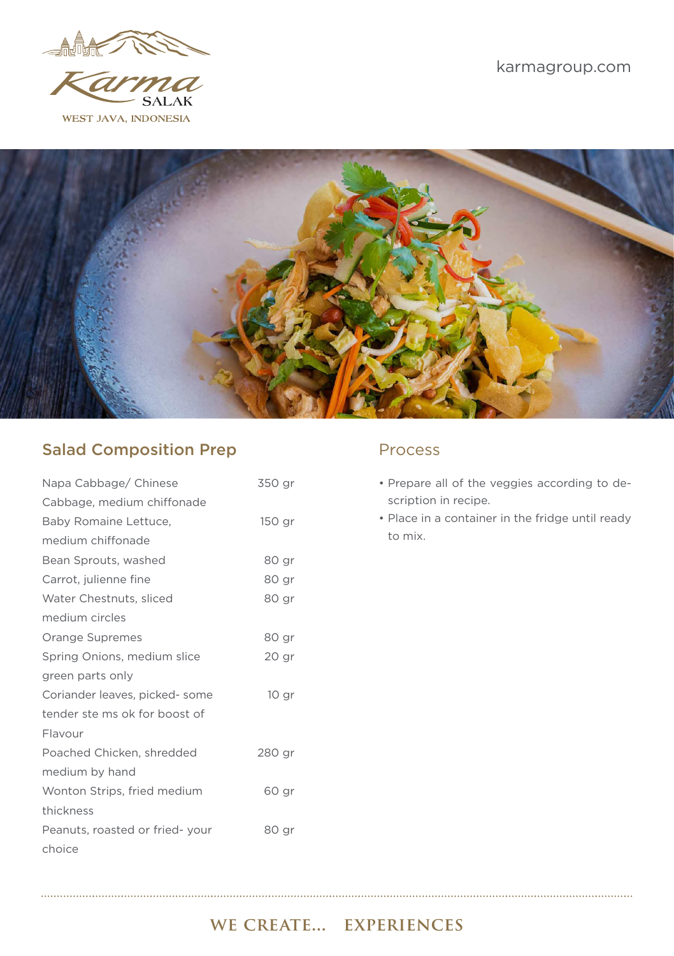

WEST JAVA. INDONESIA



## Salad Composition Prep Process

| Napa Cabbage/ Chinese          | 350 gr           |
|--------------------------------|------------------|
| Cabbage, medium chiffonade     |                  |
| Baby Romaine Lettuce,          | 150 gr           |
| medium chiffonade              |                  |
| Bean Sprouts, washed           | 80 gr            |
| Carrot, julienne fine          | 80 gr            |
| Water Chestnuts, sliced        | 80 gr            |
| medium circles                 |                  |
| Orange Supremes                | 80 ar            |
| Spring Onions, medium slice    | 20 gr            |
| green parts only               |                  |
| Coriander leaves, picked-some  | 10 <sub>gr</sub> |
| tender ste ms ok for boost of  |                  |
| Flavour                        |                  |
| Poached Chicken, shredded      | 280 gr           |
| medium by hand                 |                  |
| Wonton Strips, fried medium    | 60 gr            |
| thickness                      |                  |
| Peanuts, roasted or fried-your | 80 gr            |
| choice                         |                  |

- Prepare all of the veggies according to description in recipe.
- Place in a container in the fridge until ready to mix.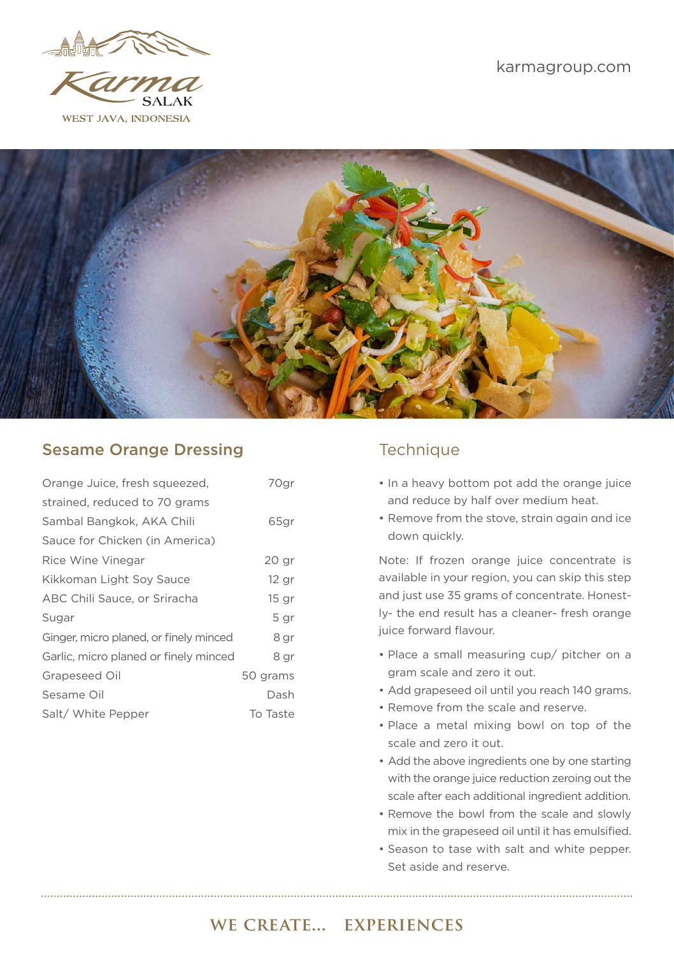

WEST JAVA. INDONESIA



### Sesame Orange Dressing Technique

| Orange Juice, fresh squeezed,          | 70gr             |
|----------------------------------------|------------------|
| strained, reduced to 70 grams          |                  |
| Sambal Bangkok, AKA Chili              | 65gr             |
| Sauce for Chicken (in America)         |                  |
| Rice Wine Vinegar                      | 20 <sub>gr</sub> |
| Kikkoman Light Soy Sauce               | $12$ gr          |
| ABC Chili Sauce, or Sriracha           | 15 <sub>qr</sub> |
| Sugar                                  | 5 gr             |
| Ginger, micro planed, or finely minced | 8 gr             |
| Garlic, micro planed or finely minced  | 8 gr             |
| Grapeseed Oil                          | 50 grams         |
| Sesame Oil                             | Dash             |
| Salt/ White Pepper                     | To Taste         |

- In a heavy bottom pot add the orange juice and reduce by half over medium heat.
- Remove from the stove, strain again and ice down quickly.

Note: If frozen orange juice concentrate is available in your region, you can skip this step and just use 35 grams of concentrate. Honestly- the end result has a cleaner- fresh orange juice forward flavour.

- Place a small measuring cup/ pitcher on a gram scale and zero it out.
- Add grapeseed oil until you reach 140 grams.
- Remove from the scale and reserve.
- Place a metal mixing bowl on top of the scale and zero it out.
- Add the above ingredients one by one starting with the orange juice reduction zeroing out the scale after each additional ingredient addition.
- Remove the bowl from the scale and slowly mix in the grapeseed oil until it has emulsified.
- Season to tase with salt and white pepper. Set aside and reserve.